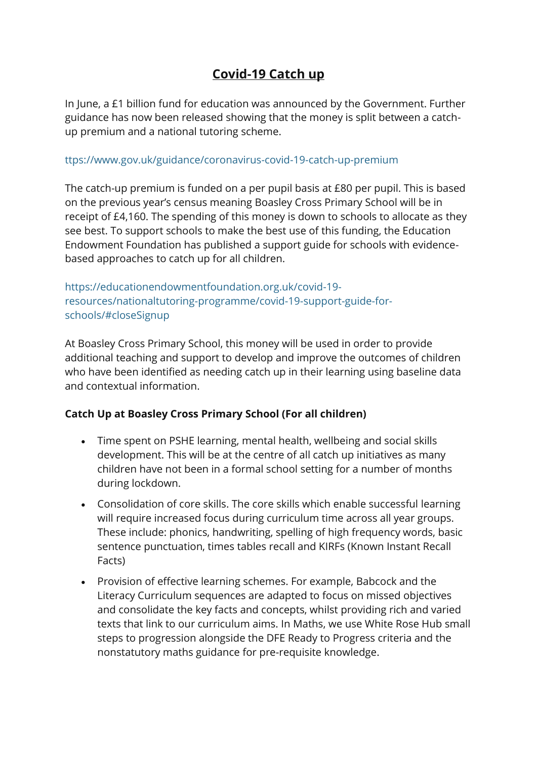## **Covid-19 Catch up**

In June, a £1 billion fund for education was announced by the Government. Further guidance has now been released showing that the money is split between a catchup premium and a national tutoring scheme.

## ttps://www.gov.uk/guidance/coronavirus-covid-19-catch-up-premium

The catch-up premium is funded on a per pupil basis at £80 per pupil. This is based on the previous year's census meaning Boasley Cross Primary School will be in receipt of £4,160. The spending of this money is down to schools to allocate as they see best. To support schools to make the best use of this funding, the Education Endowment Foundation has published a support guide for schools with evidencebased approaches to catch up for all children.

https://educationendowmentfoundation.org.uk/covid-19 resources/nationaltutoring-programme/covid-19-support-guide-forschools/#closeSignup

At Boasley Cross Primary School, this money will be used in order to provide additional teaching and support to develop and improve the outcomes of children who have been identified as needing catch up in their learning using baseline data and contextual information.

## **Catch Up at Boasley Cross Primary School (For all children)**

- Time spent on PSHE learning, mental health, wellbeing and social skills development. This will be at the centre of all catch up initiatives as many children have not been in a formal school setting for a number of months during lockdown.
- Consolidation of core skills. The core skills which enable successful learning will require increased focus during curriculum time across all year groups. These include: phonics, handwriting, spelling of high frequency words, basic sentence punctuation, times tables recall and KIRFs (Known Instant Recall Facts)
- Provision of effective learning schemes. For example, Babcock and the Literacy Curriculum sequences are adapted to focus on missed objectives and consolidate the key facts and concepts, whilst providing rich and varied texts that link to our curriculum aims. In Maths, we use White Rose Hub small steps to progression alongside the DFE Ready to Progress criteria and the nonstatutory maths guidance for pre-requisite knowledge.